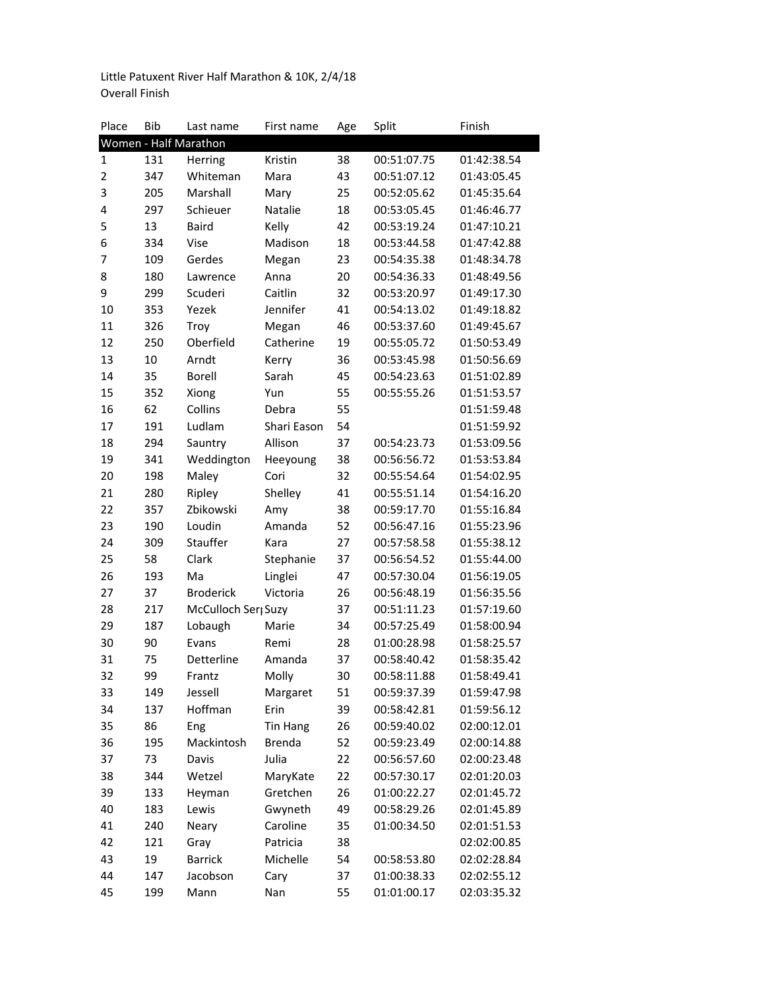Little Patuxent River Half Marathon & 10K, 2/4/18 Overall Finish

| Place          | <b>Bib</b> | Last name                       | First name      | Age | Split       | Finish      |
|----------------|------------|---------------------------------|-----------------|-----|-------------|-------------|
|                |            | Women - Half Marathon           |                 |     |             |             |
| $\mathbf{1}$   | 131        | Herring                         | Kristin         | 38  | 00:51:07.75 | 01:42:38.54 |
| $\overline{2}$ | 347        | Whiteman                        | Mara            | 43  | 00:51:07.12 | 01:43:05.45 |
| 3              | 205        | Marshall                        | Mary            | 25  | 00:52:05.62 | 01:45:35.64 |
| 4              | 297        | Schieuer                        | Natalie         | 18  | 00:53:05.45 | 01:46:46.77 |
| 5              | 13         | <b>Baird</b>                    | Kelly           | 42  | 00:53:19.24 | 01:47:10.21 |
| 6              | 334        | Vise                            | Madison         | 18  | 00:53:44.58 | 01:47:42.88 |
| 7              | 109        | Gerdes                          | Megan           | 23  | 00:54:35.38 | 01:48:34.78 |
| 8              | 180        | Lawrence                        | Anna            | 20  | 00:54:36.33 | 01:48:49.56 |
| 9              | 299        | Scuderi                         | Caitlin         | 32  | 00:53:20.97 | 01:49:17.30 |
| 10             | 353        | Yezek                           | Jennifer        | 41  | 00:54:13.02 | 01:49:18.82 |
| 11             | 326        | Troy                            | Megan           | 46  | 00:53:37.60 | 01:49:45.67 |
| 12             | 250        | Oberfield                       | Catherine       | 19  | 00:55:05.72 | 01:50:53.49 |
| 13             | 10         | Arndt                           | Kerry           | 36  | 00:53:45.98 | 01:50:56.69 |
| 14             | 35         | Borell                          | Sarah           | 45  | 00:54:23.63 | 01:51:02.89 |
| 15             | 352        | Xiong                           | Yun             | 55  | 00:55:55.26 | 01:51:53.57 |
| 16             | 62         | Collins                         | Debra           | 55  |             | 01:51:59.48 |
| 17             | 191        | Ludlam                          | Shari Eason     | 54  |             | 01:51:59.92 |
| 18             | 294        | Sauntry                         | Allison         | 37  | 00:54:23.73 | 01:53:09.56 |
| 19             | 341        | Weddington                      | Heeyoung        | 38  | 00:56:56.72 | 01:53:53.84 |
| 20             | 198        | Maley                           | Cori            | 32  | 00:55:54.64 | 01:54:02.95 |
| 21             | 280        | Ripley                          | Shelley         | 41  | 00:55:51.14 | 01:54:16.20 |
| 22             | 357        | Zbikowski                       | Amy             | 38  | 00:59:17.70 | 01:55:16.84 |
| 23             | 190        | Loudin                          | Amanda          | 52  | 00:56:47.16 | 01:55:23.96 |
| 24             | 309        | Stauffer                        | Kara            | 27  | 00:57:58.58 | 01:55:38.12 |
| 25             | 58         | Clark                           | Stephanie       | 37  | 00:56:54.52 | 01:55:44.00 |
| 26             | 193        | Ma                              | Linglei         | 47  | 00:57:30.04 | 01:56:19.05 |
| 27             | 37         | <b>Broderick</b>                | Victoria        | 26  | 00:56:48.19 | 01:56:35.56 |
| 28             | 217        | McCulloch Ser <sub>l</sub> Suzy |                 | 37  | 00:51:11.23 | 01:57:19.60 |
| 29             | 187        | Lobaugh                         | Marie           | 34  | 00:57:25.49 | 01:58:00.94 |
| 30             | 90         | Evans                           | Remi            | 28  | 01:00:28.98 | 01:58:25.57 |
| 31             | 75         | Detterline                      | Amanda          | 37  | 00:58:40.42 | 01:58:35.42 |
| 32             | 99         | Frantz                          | Molly           | 30  | 00:58:11.88 | 01:58:49.41 |
| 33             | 149        | Jessell                         | Margaret        | 51  | 00:59:37.39 | 01:59:47.98 |
| 34             | 137        | Hoffman                         | Erin            | 39  | 00:58:42.81 | 01:59:56.12 |
| 35             | 86         | Eng                             | <b>Tin Hang</b> | 26  | 00:59:40.02 | 02:00:12.01 |
| 36             | 195        | Mackintosh                      | <b>Brenda</b>   | 52  | 00:59:23.49 | 02:00:14.88 |
| 37             | 73         | Davis                           | Julia           | 22  | 00:56:57.60 | 02:00:23.48 |
| 38             | 344        | Wetzel                          | MaryKate        | 22  | 00:57:30.17 | 02:01:20.03 |
| 39             | 133        | Heyman                          | Gretchen        | 26  | 01:00:22.27 | 02:01:45.72 |
| 40             | 183        | Lewis                           | Gwyneth         | 49  | 00:58:29.26 | 02:01:45.89 |
| 41             | 240        | Neary                           | Caroline        | 35  | 01:00:34.50 | 02:01:51.53 |
| 42             | 121        | Gray                            | Patricia        | 38  |             | 02:02:00.85 |
| 43             | 19         | <b>Barrick</b>                  | Michelle        | 54  | 00:58:53.80 | 02:02:28.84 |
| 44             | 147        | Jacobson                        | Cary            | 37  | 01:00:38.33 | 02:02:55.12 |
| 45             | 199        | Mann                            | Nan             | 55  | 01:01:00.17 | 02:03:35.32 |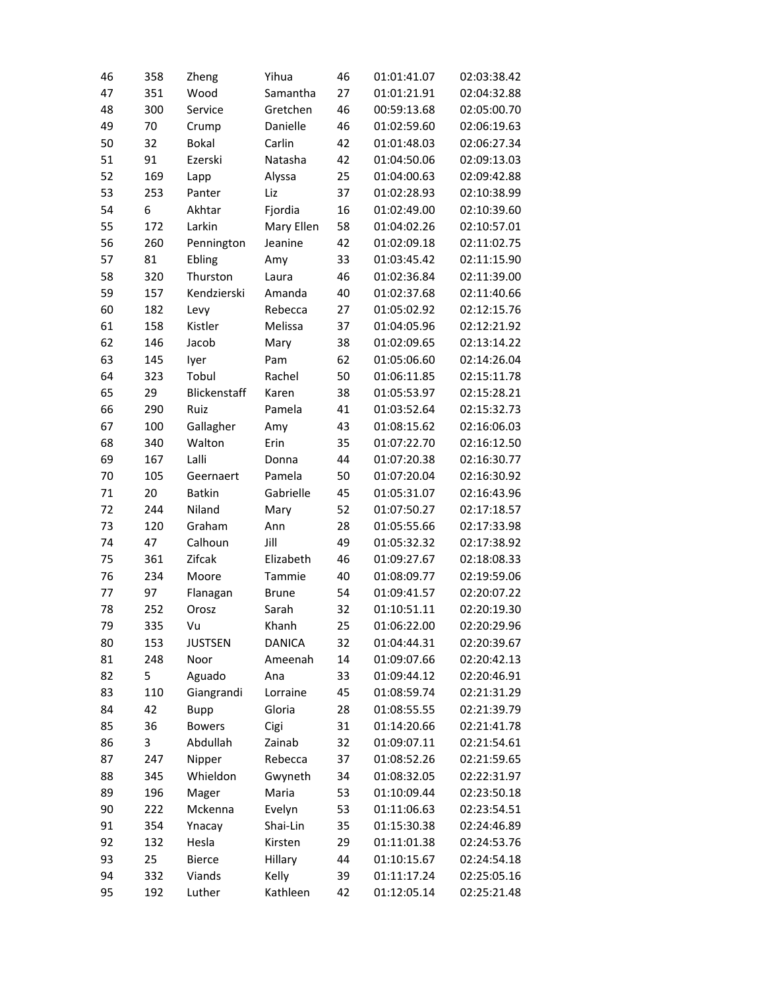| 46 | 358 | Zheng          | Yihua         | 46 | 01:01:41.07 | 02:03:38.42 |
|----|-----|----------------|---------------|----|-------------|-------------|
| 47 | 351 | Wood           | Samantha      | 27 | 01:01:21.91 | 02:04:32.88 |
| 48 | 300 | Service        | Gretchen      | 46 | 00:59:13.68 | 02:05:00.70 |
| 49 | 70  | Crump          | Danielle      | 46 | 01:02:59.60 | 02:06:19.63 |
| 50 | 32  | <b>Bokal</b>   | Carlin        | 42 | 01:01:48.03 | 02:06:27.34 |
| 51 | 91  | Ezerski        | Natasha       | 42 | 01:04:50.06 | 02:09:13.03 |
| 52 | 169 | Lapp           | Alyssa        | 25 | 01:04:00.63 | 02:09:42.88 |
| 53 | 253 | Panter         | Liz           | 37 | 01:02:28.93 | 02:10:38.99 |
| 54 | 6   | Akhtar         | Fjordia       | 16 | 01:02:49.00 | 02:10:39.60 |
| 55 | 172 | Larkin         | Mary Ellen    | 58 | 01:04:02.26 | 02:10:57.01 |
| 56 | 260 | Pennington     | Jeanine       | 42 | 01:02:09.18 | 02:11:02.75 |
| 57 | 81  | Ebling         | Amy           | 33 | 01:03:45.42 | 02:11:15.90 |
| 58 | 320 | Thurston       | Laura         | 46 | 01:02:36.84 | 02:11:39.00 |
| 59 | 157 | Kendzierski    | Amanda        | 40 | 01:02:37.68 | 02:11:40.66 |
| 60 | 182 | Levy           | Rebecca       | 27 | 01:05:02.92 | 02:12:15.76 |
| 61 | 158 | Kistler        | Melissa       | 37 | 01:04:05.96 | 02:12:21.92 |
| 62 | 146 | Jacob          | Mary          | 38 | 01:02:09.65 | 02:13:14.22 |
| 63 | 145 | lyer           | Pam           | 62 | 01:05:06.60 | 02:14:26.04 |
| 64 | 323 | Tobul          | Rachel        | 50 | 01:06:11.85 | 02:15:11.78 |
| 65 | 29  | Blickenstaff   | Karen         | 38 | 01:05:53.97 | 02:15:28.21 |
| 66 | 290 | Ruiz           | Pamela        | 41 | 01:03:52.64 | 02:15:32.73 |
| 67 | 100 | Gallagher      | Amy           | 43 | 01:08:15.62 | 02:16:06.03 |
| 68 | 340 | Walton         | Erin          | 35 | 01:07:22.70 | 02:16:12.50 |
| 69 | 167 | Lalli          | Donna         | 44 | 01:07:20.38 | 02:16:30.77 |
| 70 | 105 | Geernaert      | Pamela        | 50 | 01:07:20.04 | 02:16:30.92 |
| 71 | 20  | <b>Batkin</b>  | Gabrielle     | 45 | 01:05:31.07 | 02:16:43.96 |
| 72 | 244 | Niland         | Mary          | 52 | 01:07:50.27 | 02:17:18.57 |
| 73 | 120 | Graham         | Ann           | 28 | 01:05:55.66 | 02:17:33.98 |
| 74 | 47  | Calhoun        | Jill          | 49 | 01:05:32.32 | 02:17:38.92 |
| 75 | 361 | Zifcak         | Elizabeth     | 46 | 01:09:27.67 | 02:18:08.33 |
| 76 | 234 | Moore          | Tammie        | 40 | 01:08:09.77 | 02:19:59.06 |
| 77 | 97  | Flanagan       | <b>Brune</b>  | 54 | 01:09:41.57 | 02:20:07.22 |
| 78 | 252 | Orosz          | Sarah         | 32 | 01:10:51.11 | 02:20:19.30 |
| 79 | 335 | Vu             | Khanh         | 25 | 01:06:22.00 | 02:20:29.96 |
| 80 | 153 | <b>JUSTSEN</b> | <b>DANICA</b> | 32 | 01:04:44.31 | 02:20:39.67 |
| 81 | 248 | Noor           | Ameenah       | 14 | 01:09:07.66 | 02:20:42.13 |
| 82 | 5   | Aguado         | Ana           | 33 | 01:09:44.12 | 02:20:46.91 |
| 83 | 110 | Giangrandi     | Lorraine      | 45 | 01:08:59.74 | 02:21:31.29 |
| 84 | 42  | Bupp           | Gloria        | 28 | 01:08:55.55 | 02:21:39.79 |
| 85 | 36  | <b>Bowers</b>  | Cigi          | 31 | 01:14:20.66 | 02:21:41.78 |
| 86 | 3   | Abdullah       | Zainab        | 32 | 01:09:07.11 | 02:21:54.61 |
| 87 | 247 | Nipper         | Rebecca       | 37 | 01:08:52.26 | 02:21:59.65 |
| 88 | 345 | Whieldon       | Gwyneth       | 34 | 01:08:32.05 | 02:22:31.97 |
| 89 | 196 | Mager          | Maria         | 53 | 01:10:09.44 | 02:23:50.18 |
| 90 | 222 | Mckenna        | Evelyn        | 53 | 01:11:06.63 | 02:23:54.51 |
| 91 | 354 | Ynacay         | Shai-Lin      | 35 | 01:15:30.38 | 02:24:46.89 |
| 92 | 132 | Hesla          | Kirsten       | 29 | 01:11:01.38 | 02:24:53.76 |
| 93 | 25  | <b>Bierce</b>  | Hillary       | 44 | 01:10:15.67 | 02:24:54.18 |
| 94 | 332 | Viands         | Kelly         | 39 | 01:11:17.24 | 02:25:05.16 |
| 95 | 192 | Luther         | Kathleen      | 42 | 01:12:05.14 | 02:25:21.48 |
|    |     |                |               |    |             |             |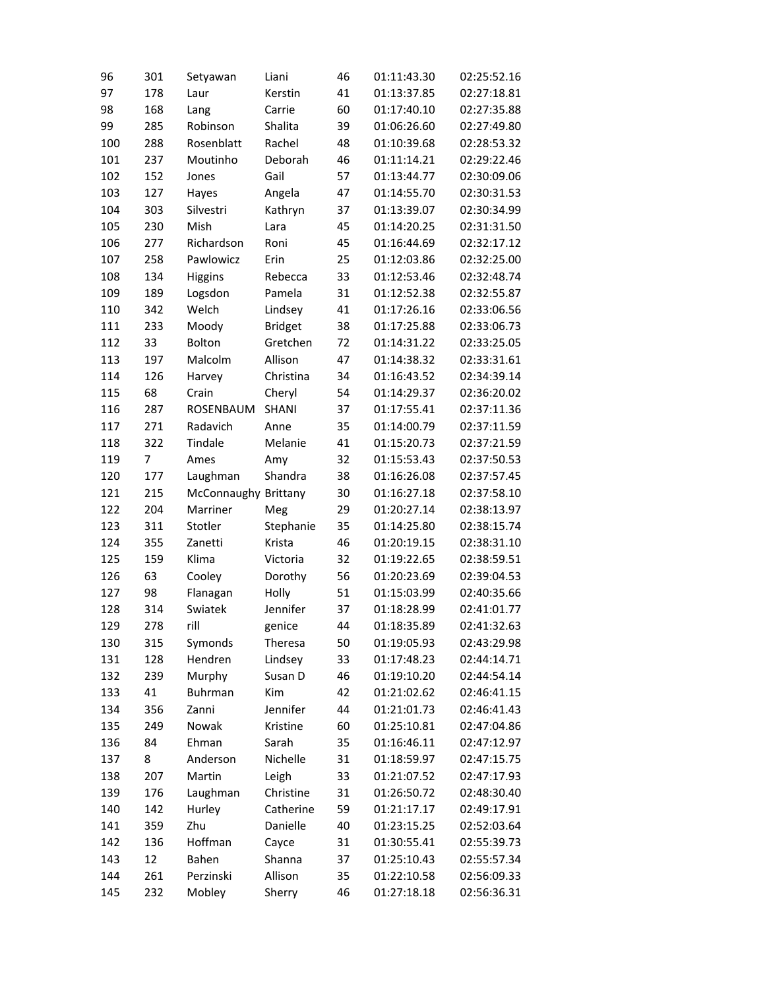| 96  | 301 | Setyawan             | Liani          | 46 | 01:11:43.30 | 02:25:52.16 |
|-----|-----|----------------------|----------------|----|-------------|-------------|
| 97  | 178 | Laur                 | Kerstin        | 41 | 01:13:37.85 | 02:27:18.81 |
| 98  | 168 | Lang                 | Carrie         | 60 | 01:17:40.10 | 02:27:35.88 |
| 99  | 285 | Robinson             | Shalita        | 39 | 01:06:26.60 | 02:27:49.80 |
| 100 | 288 | Rosenblatt           | Rachel         | 48 | 01:10:39.68 | 02:28:53.32 |
| 101 | 237 | Moutinho             | Deborah        | 46 | 01:11:14.21 | 02:29:22.46 |
| 102 | 152 | Jones                | Gail           | 57 | 01:13:44.77 | 02:30:09.06 |
| 103 | 127 | Hayes                | Angela         | 47 | 01:14:55.70 | 02:30:31.53 |
| 104 | 303 | Silvestri            | Kathryn        | 37 | 01:13:39.07 | 02:30:34.99 |
| 105 | 230 | Mish                 | Lara           | 45 | 01:14:20.25 | 02:31:31.50 |
| 106 | 277 | Richardson           | Roni           | 45 | 01:16:44.69 | 02:32:17.12 |
| 107 | 258 | Pawlowicz            | Erin           | 25 | 01:12:03.86 | 02:32:25.00 |
| 108 | 134 | <b>Higgins</b>       | Rebecca        | 33 | 01:12:53.46 | 02:32:48.74 |
| 109 | 189 | Logsdon              | Pamela         | 31 | 01:12:52.38 | 02:32:55.87 |
| 110 | 342 | Welch                | Lindsey        | 41 | 01:17:26.16 | 02:33:06.56 |
| 111 | 233 | Moody                | <b>Bridget</b> | 38 | 01:17:25.88 | 02:33:06.73 |
| 112 | 33  | Bolton               | Gretchen       | 72 | 01:14:31.22 | 02:33:25.05 |
| 113 | 197 | Malcolm              | Allison        | 47 | 01:14:38.32 | 02:33:31.61 |
| 114 | 126 | Harvey               | Christina      | 34 | 01:16:43.52 | 02:34:39.14 |
| 115 | 68  | Crain                | Cheryl         | 54 | 01:14:29.37 | 02:36:20.02 |
| 116 | 287 | ROSENBAUM            | <b>SHANI</b>   | 37 | 01:17:55.41 | 02:37:11.36 |
| 117 | 271 | Radavich             | Anne           | 35 | 01:14:00.79 | 02:37:11.59 |
| 118 | 322 | Tindale              | Melanie        | 41 | 01:15:20.73 | 02:37:21.59 |
| 119 | 7   | Ames                 | Amy            | 32 | 01:15:53.43 | 02:37:50.53 |
| 120 | 177 | Laughman             | Shandra        | 38 | 01:16:26.08 | 02:37:57.45 |
| 121 | 215 | McConnaughy Brittany |                | 30 | 01:16:27.18 | 02:37:58.10 |
| 122 | 204 | Marriner             | Meg            | 29 | 01:20:27.14 | 02:38:13.97 |
| 123 | 311 | Stotler              | Stephanie      | 35 | 01:14:25.80 | 02:38:15.74 |
| 124 | 355 | Zanetti              | Krista         | 46 | 01:20:19.15 | 02:38:31.10 |
| 125 | 159 | Klima                | Victoria       | 32 | 01:19:22.65 | 02:38:59.51 |
| 126 | 63  | Cooley               | Dorothy        | 56 | 01:20:23.69 | 02:39:04.53 |
| 127 | 98  | Flanagan             | Holly          | 51 | 01:15:03.99 | 02:40:35.66 |
| 128 | 314 | Swiatek              | Jennifer       | 37 | 01:18:28.99 | 02:41:01.77 |
| 129 | 278 | rill                 | genice         | 44 | 01:18:35.89 | 02:41:32.63 |
| 130 | 315 | Symonds              | <b>Theresa</b> | 50 | 01:19:05.93 | 02:43:29.98 |
| 131 | 128 | Hendren              | Lindsey        | 33 | 01:17:48.23 | 02:44:14.71 |
| 132 | 239 | Murphy               | Susan D        | 46 | 01:19:10.20 | 02:44:54.14 |
| 133 | 41  | Buhrman              | Kim            | 42 | 01:21:02.62 | 02:46:41.15 |
| 134 | 356 | Zanni                | Jennifer       | 44 | 01:21:01.73 | 02:46:41.43 |
| 135 | 249 | Nowak                | Kristine       | 60 | 01:25:10.81 | 02:47:04.86 |
| 136 | 84  | Ehman                | Sarah          | 35 | 01:16:46.11 | 02:47:12.97 |
| 137 | 8   | Anderson             | Nichelle       | 31 | 01:18:59.97 | 02:47:15.75 |
| 138 | 207 | Martin               | Leigh          | 33 | 01:21:07.52 | 02:47:17.93 |
| 139 | 176 | Laughman             | Christine      | 31 | 01:26:50.72 | 02:48:30.40 |
| 140 | 142 | Hurley               | Catherine      | 59 | 01:21:17.17 | 02:49:17.91 |
| 141 | 359 | Zhu                  | Danielle       | 40 | 01:23:15.25 | 02:52:03.64 |
| 142 | 136 | Hoffman              | Cayce          | 31 | 01:30:55.41 | 02:55:39.73 |
| 143 | 12  | Bahen                | Shanna         | 37 | 01:25:10.43 | 02:55:57.34 |
| 144 | 261 | Perzinski            | Allison        | 35 | 01:22:10.58 | 02:56:09.33 |
| 145 | 232 | Mobley               | Sherry         | 46 | 01:27:18.18 | 02:56:36.31 |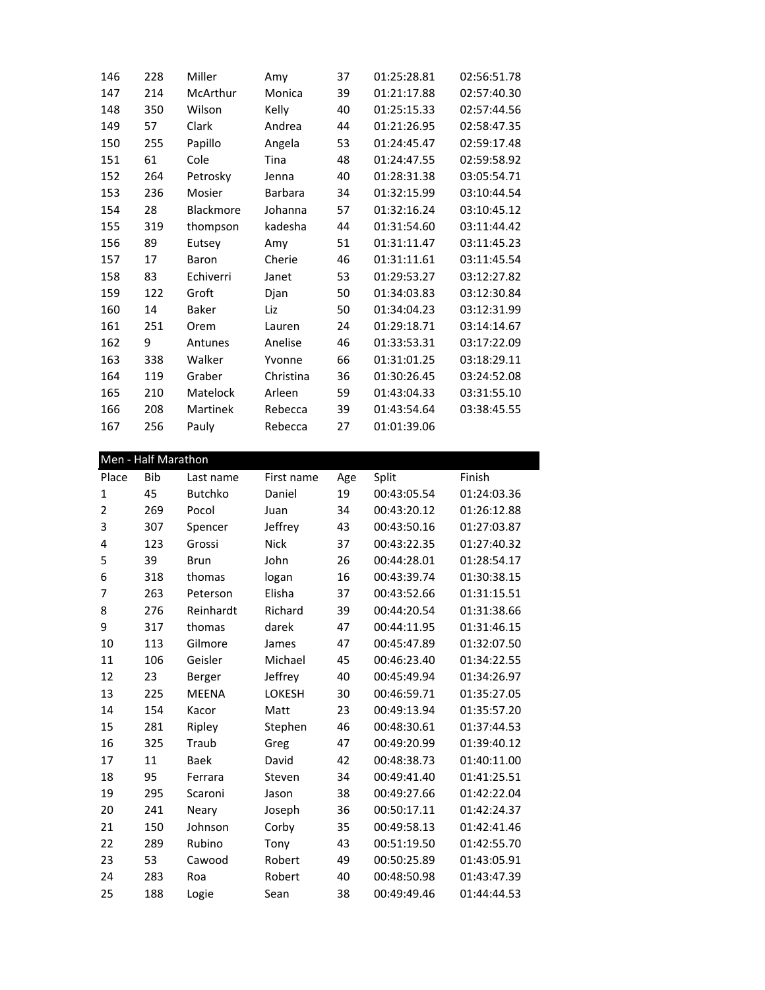| 146 | 228 | Miller           | Amy            | 37 | 01:25:28.81 | 02:56:51.78 |
|-----|-----|------------------|----------------|----|-------------|-------------|
| 147 | 214 | McArthur         | Monica         | 39 | 01:21:17.88 | 02:57:40.30 |
| 148 | 350 | Wilson           | Kelly          | 40 | 01:25:15.33 | 02:57:44.56 |
| 149 | 57  | Clark            | Andrea         | 44 | 01:21:26.95 | 02:58:47.35 |
| 150 | 255 | Papillo          | Angela         | 53 | 01:24:45.47 | 02:59:17.48 |
| 151 | 61  | Cole             | Tina           | 48 | 01:24:47.55 | 02:59:58.92 |
| 152 | 264 | Petrosky         | Jenna          | 40 | 01:28:31.38 | 03:05:54.71 |
| 153 | 236 | Mosier           | <b>Barbara</b> | 34 | 01:32:15.99 | 03:10:44.54 |
| 154 | 28  | <b>Blackmore</b> | Johanna        | 57 | 01:32:16.24 | 03:10:45.12 |
| 155 | 319 | thompson         | kadesha        | 44 | 01:31:54.60 | 03:11:44.42 |
| 156 | 89  | Eutsey           | Amy            | 51 | 01:31:11.47 | 03:11:45.23 |
| 157 | 17  | Baron            | Cherie         | 46 | 01:31:11.61 | 03:11:45.54 |
| 158 | 83  | Echiverri        | Janet          | 53 | 01:29:53.27 | 03:12:27.82 |
| 159 | 122 | Groft            | Djan           | 50 | 01:34:03.83 | 03:12:30.84 |
| 160 | 14  | Baker            | Liz            | 50 | 01:34:04.23 | 03:12:31.99 |
| 161 | 251 | Orem             | Lauren         | 24 | 01:29:18.71 | 03:14:14.67 |
| 162 | 9   | Antunes          | Anelise        | 46 | 01:33:53.31 | 03:17:22.09 |
| 163 | 338 | Walker           | Yvonne         | 66 | 01:31:01.25 | 03:18:29.11 |
| 164 | 119 | Graber           | Christina      | 36 | 01:30:26.45 | 03:24:52.08 |
| 165 | 210 | Matelock         | Arleen         | 59 | 01:43:04.33 | 03:31:55.10 |
| 166 | 208 | Martinek         | Rebecca        | 39 | 01:43:54.64 | 03:38:45.55 |
| 167 | 256 | Pauly            | Rebecca        | 27 | 01:01:39.06 |             |

| Men - Half Marathon |            |                |               |     |             |             |
|---------------------|------------|----------------|---------------|-----|-------------|-------------|
| Place               | <b>Bib</b> | Last name      | First name    | Age | Split       | Finish      |
| 1                   | 45         | <b>Butchko</b> | Daniel        | 19  | 00:43:05.54 | 01:24:03.36 |
| $\overline{2}$      | 269        | Pocol          | Juan          | 34  | 00:43:20.12 | 01:26:12.88 |
| 3                   | 307        | Spencer        | Jeffrey       | 43  | 00:43:50.16 | 01:27:03.87 |
| 4                   | 123        | Grossi         | <b>Nick</b>   | 37  | 00:43:22.35 | 01:27:40.32 |
| 5                   | 39         | <b>Brun</b>    | John          | 26  | 00:44:28.01 | 01:28:54.17 |
| 6                   | 318        | thomas         | logan         | 16  | 00:43:39.74 | 01:30:38.15 |
| $\overline{7}$      | 263        | Peterson       | Elisha        | 37  | 00:43:52.66 | 01:31:15.51 |
| 8                   | 276        | Reinhardt      | Richard       | 39  | 00:44:20.54 | 01:31:38.66 |
| 9                   | 317        | thomas         | darek         | 47  | 00:44:11.95 | 01:31:46.15 |
| 10                  | 113        | Gilmore        | James         | 47  | 00:45:47.89 | 01:32:07.50 |
| 11                  | 106        | Geisler        | Michael       | 45  | 00:46:23.40 | 01:34:22.55 |
| 12                  | 23         | Berger         | Jeffrey       | 40  | 00:45:49.94 | 01:34:26.97 |
| 13                  | 225        | <b>MEENA</b>   | <b>LOKESH</b> | 30  | 00:46:59.71 | 01:35:27.05 |
| 14                  | 154        | Kacor          | Matt          | 23  | 00:49:13.94 | 01:35:57.20 |
| 15                  | 281        | Ripley         | Stephen       | 46  | 00:48:30.61 | 01:37:44.53 |
| 16                  | 325        | Traub          | Greg          | 47  | 00:49:20.99 | 01:39:40.12 |
| 17                  | 11         | <b>Baek</b>    | David         | 42  | 00:48:38.73 | 01:40:11.00 |
| 18                  | 95         | Ferrara        | Steven        | 34  | 00:49:41.40 | 01:41:25.51 |
| 19                  | 295        | Scaroni        | Jason         | 38  | 00:49:27.66 | 01:42:22.04 |
| 20                  | 241        | Neary          | Joseph        | 36  | 00:50:17.11 | 01:42:24.37 |
| 21                  | 150        | Johnson        | Corby         | 35  | 00:49:58.13 | 01:42:41.46 |
| 22                  | 289        | Rubino         | Tony          | 43  | 00:51:19.50 | 01:42:55.70 |
| 23                  | 53         | Cawood         | Robert        | 49  | 00:50:25.89 | 01:43:05.91 |
| 24                  | 283        | Roa            | Robert        | 40  | 00:48:50.98 | 01:43:47.39 |
| 25                  | 188        | Logie          | Sean          | 38  | 00:49:49.46 | 01:44:44.53 |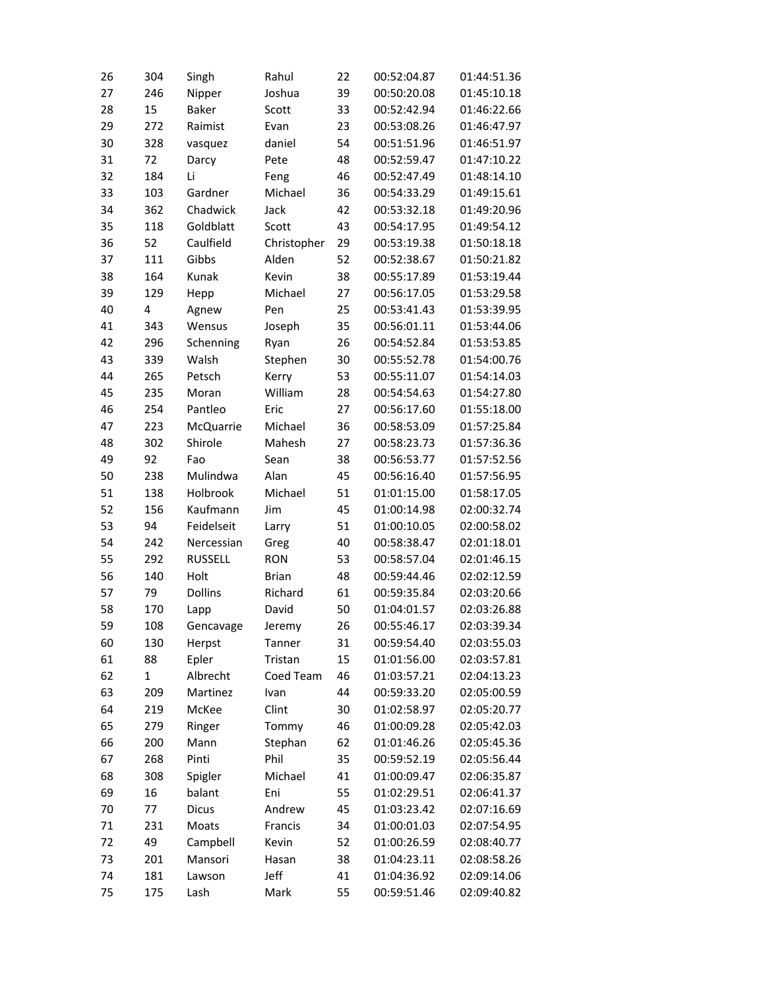| 26 | 304          | Singh          | Rahul        | 22 | 00:52:04.87 | 01:44:51.36 |
|----|--------------|----------------|--------------|----|-------------|-------------|
| 27 | 246          | Nipper         | Joshua       | 39 | 00:50:20.08 | 01:45:10.18 |
| 28 | 15           | Baker          | Scott        | 33 | 00:52:42.94 | 01:46:22.66 |
| 29 | 272          | Raimist        | Evan         | 23 | 00:53:08.26 | 01:46:47.97 |
| 30 | 328          | vasquez        | daniel       | 54 | 00:51:51.96 | 01:46:51.97 |
| 31 | 72           | Darcy          | Pete         | 48 | 00:52:59.47 | 01:47:10.22 |
| 32 | 184          | Li             | Feng         | 46 | 00:52:47.49 | 01:48:14.10 |
| 33 | 103          | Gardner        | Michael      | 36 | 00:54:33.29 | 01:49:15.61 |
| 34 | 362          | Chadwick       | Jack         | 42 | 00:53:32.18 | 01:49:20.96 |
| 35 | 118          | Goldblatt      | Scott        | 43 | 00:54:17.95 | 01:49:54.12 |
| 36 | 52           | Caulfield      | Christopher  | 29 | 00:53:19.38 | 01:50:18.18 |
| 37 | 111          | Gibbs          | Alden        | 52 | 00:52:38.67 | 01:50:21.82 |
| 38 | 164          | Kunak          | Kevin        | 38 | 00:55:17.89 | 01:53:19.44 |
| 39 | 129          | Hepp           | Michael      | 27 | 00:56:17.05 | 01:53:29.58 |
| 40 | 4            | Agnew          | Pen          | 25 | 00:53:41.43 | 01:53:39.95 |
| 41 | 343          | Wensus         | Joseph       | 35 | 00:56:01.11 | 01:53:44.06 |
| 42 | 296          | Schenning      | Ryan         | 26 | 00:54:52.84 | 01:53:53.85 |
| 43 | 339          | Walsh          | Stephen      | 30 | 00:55:52.78 | 01:54:00.76 |
| 44 | 265          | Petsch         | Kerry        | 53 | 00:55:11.07 | 01:54:14.03 |
| 45 | 235          | Moran          | William      | 28 | 00:54:54.63 | 01:54:27.80 |
| 46 | 254          | Pantleo        | Eric         | 27 | 00:56:17.60 | 01:55:18.00 |
| 47 | 223          | McQuarrie      | Michael      | 36 | 00:58:53.09 | 01:57:25.84 |
| 48 | 302          | Shirole        | Mahesh       | 27 | 00:58:23.73 | 01:57:36.36 |
| 49 | 92           | Fao            | Sean         | 38 | 00:56:53.77 | 01:57:52.56 |
| 50 | 238          | Mulindwa       | Alan         | 45 | 00:56:16.40 | 01:57:56.95 |
| 51 | 138          | Holbrook       | Michael      | 51 | 01:01:15.00 | 01:58:17.05 |
| 52 | 156          | Kaufmann       | Jim          | 45 | 01:00:14.98 | 02:00:32.74 |
| 53 | 94           | Feidelseit     | Larry        | 51 | 01:00:10.05 | 02:00:58.02 |
| 54 | 242          | Nercessian     | Greg         | 40 | 00:58:38.47 | 02:01:18.01 |
| 55 | 292          | <b>RUSSELL</b> | <b>RON</b>   | 53 | 00:58:57.04 | 02:01:46.15 |
| 56 | 140          | Holt           | <b>Brian</b> | 48 | 00:59:44.46 | 02:02:12.59 |
| 57 | 79           | Dollins        | Richard      | 61 | 00:59:35.84 | 02:03:20.66 |
| 58 | 170          | Lapp           | David        | 50 | 01:04:01.57 | 02:03:26.88 |
| 59 | 108          | Gencavage      | Jeremy       | 26 | 00:55:46.17 | 02:03:39.34 |
| 60 | 130          | Herpst         | Tanner       | 31 | 00:59:54.40 | 02:03:55.03 |
| 61 | 88           | Epler          | Tristan      | 15 | 01:01:56.00 | 02:03:57.81 |
| 62 | $\mathbf{1}$ | Albrecht       | Coed Team    | 46 | 01:03:57.21 | 02:04:13.23 |
| 63 | 209          | Martinez       | Ivan         | 44 | 00:59:33.20 | 02:05:00.59 |
| 64 | 219          | McKee          | Clint        | 30 | 01:02:58.97 | 02:05:20.77 |
| 65 | 279          | Ringer         | Tommy        | 46 | 01:00:09.28 | 02:05:42.03 |
| 66 | 200          | Mann           | Stephan      | 62 | 01:01:46.26 | 02:05:45.36 |
| 67 | 268          | Pinti          | Phil         | 35 | 00:59:52.19 | 02:05:56.44 |
| 68 | 308          | Spigler        | Michael      | 41 | 01:00:09.47 | 02:06:35.87 |
| 69 | 16           | balant         | Eni          | 55 | 01:02:29.51 | 02:06:41.37 |
| 70 | 77           | Dicus          | Andrew       | 45 | 01:03:23.42 | 02:07:16.69 |
| 71 | 231          | Moats          | Francis      | 34 | 01:00:01.03 | 02:07:54.95 |
| 72 | 49           | Campbell       | Kevin        | 52 | 01:00:26.59 | 02:08:40.77 |
| 73 | 201          | Mansori        | Hasan        | 38 | 01:04:23.11 | 02:08:58.26 |
| 74 | 181          | Lawson         | Jeff         | 41 | 01:04:36.92 | 02:09:14.06 |
| 75 | 175          | Lash           | Mark         | 55 | 00:59:51.46 | 02:09:40.82 |
|    |              |                |              |    |             |             |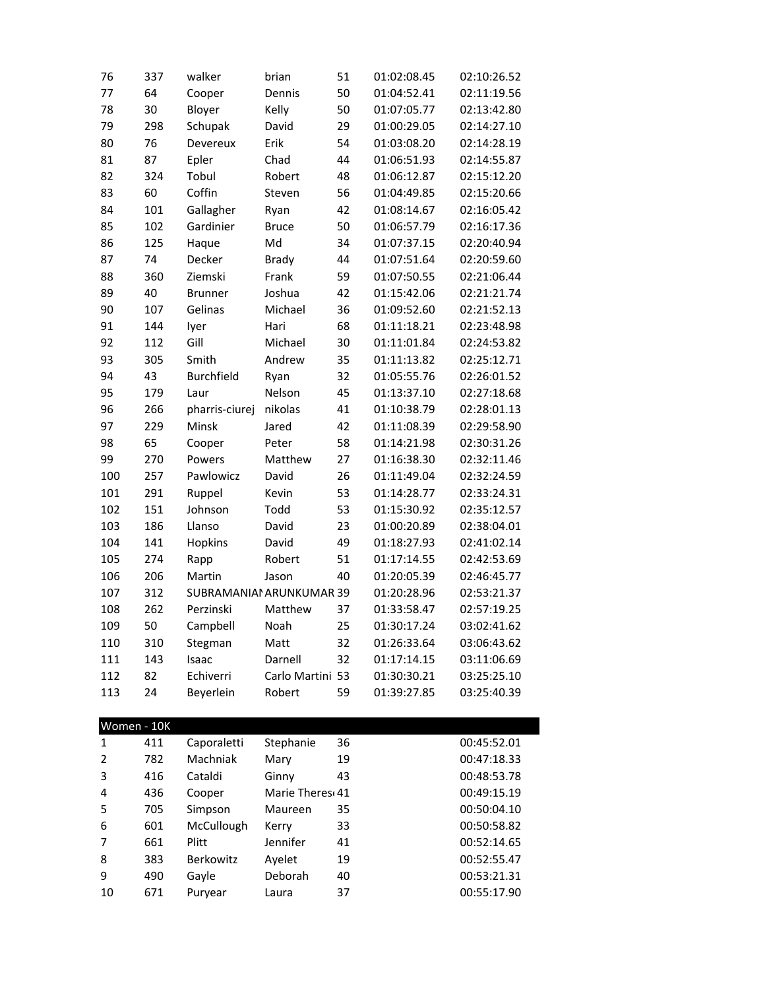| 76  | 337 | walker                   | brian            | 51 | 01:02:08.45 | 02:10:26.52 |
|-----|-----|--------------------------|------------------|----|-------------|-------------|
| 77  | 64  | Cooper                   | Dennis           | 50 | 01:04:52.41 | 02:11:19.56 |
| 78  | 30  | Bloyer                   | Kelly            | 50 | 01:07:05.77 | 02:13:42.80 |
| 79  | 298 | Schupak                  | David            | 29 | 01:00:29.05 | 02:14:27.10 |
| 80  | 76  | Devereux                 | Erik             | 54 | 01:03:08.20 | 02:14:28.19 |
| 81  | 87  | Epler                    | Chad             | 44 | 01:06:51.93 | 02:14:55.87 |
| 82  | 324 | Tobul                    | Robert           | 48 | 01:06:12.87 | 02:15:12.20 |
| 83  | 60  | Coffin                   | Steven           | 56 | 01:04:49.85 | 02:15:20.66 |
| 84  | 101 | Gallagher                | Ryan             | 42 | 01:08:14.67 | 02:16:05.42 |
| 85  | 102 | Gardinier                | <b>Bruce</b>     | 50 | 01:06:57.79 | 02:16:17.36 |
| 86  | 125 | Haque                    | Md               | 34 | 01:07:37.15 | 02:20:40.94 |
| 87  | 74  | Decker                   | <b>Brady</b>     | 44 | 01:07:51.64 | 02:20:59.60 |
| 88  | 360 | Ziemski                  | Frank            | 59 | 01:07:50.55 | 02:21:06.44 |
| 89  | 40  | <b>Brunner</b>           | Joshua           | 42 | 01:15:42.06 | 02:21:21.74 |
| 90  | 107 | Gelinas                  | Michael          | 36 | 01:09:52.60 | 02:21:52.13 |
| 91  | 144 | lyer                     | Hari             | 68 | 01:11:18.21 | 02:23:48.98 |
| 92  | 112 | Gill                     | Michael          | 30 | 01:11:01.84 | 02:24:53.82 |
| 93  | 305 | Smith                    | Andrew           | 35 | 01:11:13.82 | 02:25:12.71 |
| 94  | 43  | <b>Burchfield</b>        | Ryan             | 32 | 01:05:55.76 | 02:26:01.52 |
| 95  | 179 | Laur                     | Nelson           | 45 | 01:13:37.10 | 02:27:18.68 |
| 96  | 266 | pharris-ciurej           | nikolas          | 41 | 01:10:38.79 | 02:28:01.13 |
| 97  | 229 | Minsk                    | Jared            | 42 | 01:11:08.39 | 02:29:58.90 |
| 98  | 65  | Cooper                   | Peter            | 58 | 01:14:21.98 | 02:30:31.26 |
| 99  | 270 | Powers                   | Matthew          | 27 | 01:16:38.30 | 02:32:11.46 |
| 100 | 257 | Pawlowicz                | David            | 26 | 01:11:49.04 | 02:32:24.59 |
| 101 | 291 | Ruppel                   | Kevin            | 53 | 01:14:28.77 | 02:33:24.31 |
| 102 | 151 | Johnson                  | Todd             | 53 | 01:15:30.92 | 02:35:12.57 |
| 103 | 186 | Llanso                   | David            | 23 | 01:00:20.89 | 02:38:04.01 |
| 104 | 141 | Hopkins                  | David            | 49 | 01:18:27.93 | 02:41:02.14 |
| 105 | 274 | Rapp                     | Robert           | 51 | 01:17:14.55 | 02:42:53.69 |
| 106 | 206 | Martin                   | Jason            | 40 | 01:20:05.39 | 02:46:45.77 |
| 107 | 312 | SUBRAMANIAI ARUNKUMAR 39 |                  |    | 01:20:28.96 | 02:53:21.37 |
| 108 | 262 | Perzinski                | Matthew          | 37 | 01:33:58.47 | 02:57:19.25 |
| 109 | 50  | Campbell                 | Noah             | 25 | 01:30:17.24 | 03:02:41.62 |
| 110 | 310 | Stegman                  | Matt             | 32 | 01:26:33.64 | 03:06:43.62 |
| 111 | 143 | Isaac                    | Darnell          | 32 | 01:17:14.15 | 03:11:06.69 |
| 112 | 82  | Echiverri                | Carlo Martini 53 |    | 01:30:30.21 | 03:25:25.10 |
| 113 | 24  | Beyerlein                | Robert           | 59 | 01:39:27.85 | 03:25:40.39 |
|     |     |                          |                  |    |             |             |

| Women - 10K |     |                  |                 |    |             |
|-------------|-----|------------------|-----------------|----|-------------|
| 1           | 411 | Caporaletti      | Stephanie       | 36 | 00:45:52.01 |
| 2           | 782 | Machniak         | Mary            | 19 | 00:47:18.33 |
| 3           | 416 | Cataldi          | Ginny           | 43 | 00:48:53.78 |
| 4           | 436 | Cooper           | Marie Theres 41 |    | 00:49:15.19 |
| 5           | 705 | Simpson          | Maureen         | 35 | 00:50:04.10 |
| 6           | 601 | McCullough       | Kerry           | 33 | 00:50:58.82 |
| 7           | 661 | Plitt            | Jennifer        | 41 | 00:52:14.65 |
| 8           | 383 | <b>Berkowitz</b> | Ayelet          | 19 | 00:52:55.47 |
| 9           | 490 | Gayle            | <b>Deborah</b>  | 40 | 00:53:21.31 |
| 10          | 671 | Puryear          | Laura           | 37 | 00:55:17.90 |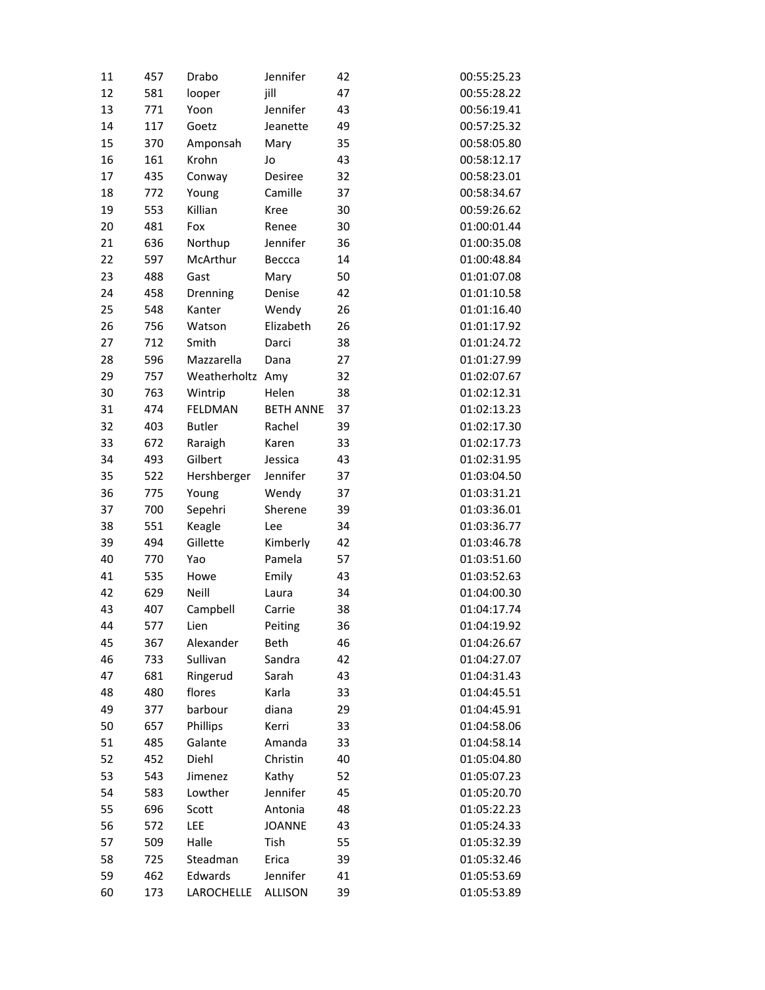| 11 | 457 | Drabo            | Jennifer         | 42 | 00:55:25.23 |
|----|-----|------------------|------------------|----|-------------|
| 12 | 581 | looper           | jill             | 47 | 00:55:28.22 |
| 13 | 771 | Yoon             | Jennifer         | 43 | 00:56:19.41 |
| 14 | 117 | Goetz            | Jeanette         | 49 | 00:57:25.32 |
| 15 | 370 | Amponsah         | Mary             | 35 | 00:58:05.80 |
| 16 | 161 | Krohn            | Jo               | 43 | 00:58:12.17 |
| 17 | 435 | Conway           | Desiree          | 32 | 00:58:23.01 |
| 18 | 772 | Young            | Camille          | 37 | 00:58:34.67 |
| 19 | 553 | Killian          | Kree             | 30 | 00:59:26.62 |
| 20 | 481 | Fox              | Renee            | 30 | 01:00:01.44 |
| 21 | 636 | Northup          | Jennifer         | 36 | 01:00:35.08 |
| 22 | 597 | McArthur         | Beccca           | 14 | 01:00:48.84 |
| 23 | 488 | Gast             | Mary             | 50 | 01:01:07.08 |
| 24 | 458 | Drenning         | Denise           | 42 | 01:01:10.58 |
| 25 | 548 | Kanter           | Wendy            | 26 | 01:01:16.40 |
| 26 | 756 | Watson           | Elizabeth        | 26 | 01:01:17.92 |
| 27 | 712 | Smith            | Darci            | 38 | 01:01:24.72 |
| 28 | 596 | Mazzarella       | Dana             | 27 | 01:01:27.99 |
| 29 | 757 | Weatherholtz Amy |                  | 32 | 01:02:07.67 |
| 30 | 763 | Wintrip          | Helen            | 38 | 01:02:12.31 |
| 31 | 474 | FELDMAN          | <b>BETH ANNE</b> | 37 | 01:02:13.23 |
| 32 | 403 | <b>Butler</b>    | Rachel           | 39 | 01:02:17.30 |
| 33 | 672 | Raraigh          | Karen            | 33 | 01:02:17.73 |
| 34 | 493 | Gilbert          | Jessica          | 43 | 01:02:31.95 |
| 35 | 522 | Hershberger      | Jennifer         | 37 | 01:03:04.50 |
| 36 | 775 | Young            | Wendy            | 37 | 01:03:31.21 |
| 37 | 700 | Sepehri          | Sherene          | 39 | 01:03:36.01 |
| 38 | 551 | Keagle           | Lee              | 34 | 01:03:36.77 |
| 39 | 494 | Gillette         | Kimberly         | 42 | 01:03:46.78 |
| 40 | 770 | Yao              | Pamela           | 57 | 01:03:51.60 |
| 41 | 535 | Howe             | Emily            | 43 | 01:03:52.63 |
| 42 | 629 | Neill            | Laura            | 34 | 01:04:00.30 |
| 43 | 407 | Campbell         | Carrie           | 38 | 01:04:17.74 |
| 44 | 577 | Lien             | Peiting          | 36 | 01:04:19.92 |
| 45 | 367 | Alexander        | Beth             | 46 | 01:04:26.67 |
| 46 | 733 | Sullivan         | Sandra           | 42 | 01:04:27.07 |
| 47 | 681 | Ringerud         | Sarah            | 43 | 01:04:31.43 |
| 48 | 480 | flores           | Karla            | 33 | 01:04:45.51 |
| 49 | 377 | barbour          | diana            | 29 | 01:04:45.91 |
| 50 | 657 | Phillips         | Kerri            | 33 | 01:04:58.06 |
| 51 | 485 | Galante          | Amanda           | 33 | 01:04:58.14 |
| 52 | 452 | Diehl            | Christin         | 40 | 01:05:04.80 |
| 53 | 543 | Jimenez          | Kathy            | 52 | 01:05:07.23 |
| 54 | 583 | Lowther          | Jennifer         | 45 | 01:05:20.70 |
| 55 | 696 | Scott            | Antonia          | 48 | 01:05:22.23 |
| 56 | 572 | LEE              | <b>JOANNE</b>    | 43 | 01:05:24.33 |
| 57 | 509 | Halle            | Tish             | 55 | 01:05:32.39 |
| 58 | 725 | Steadman         | Erica            | 39 | 01:05:32.46 |
| 59 | 462 | Edwards          | Jennifer         | 41 | 01:05:53.69 |
| 60 | 173 | LAROCHELLE       | <b>ALLISON</b>   | 39 | 01:05:53.89 |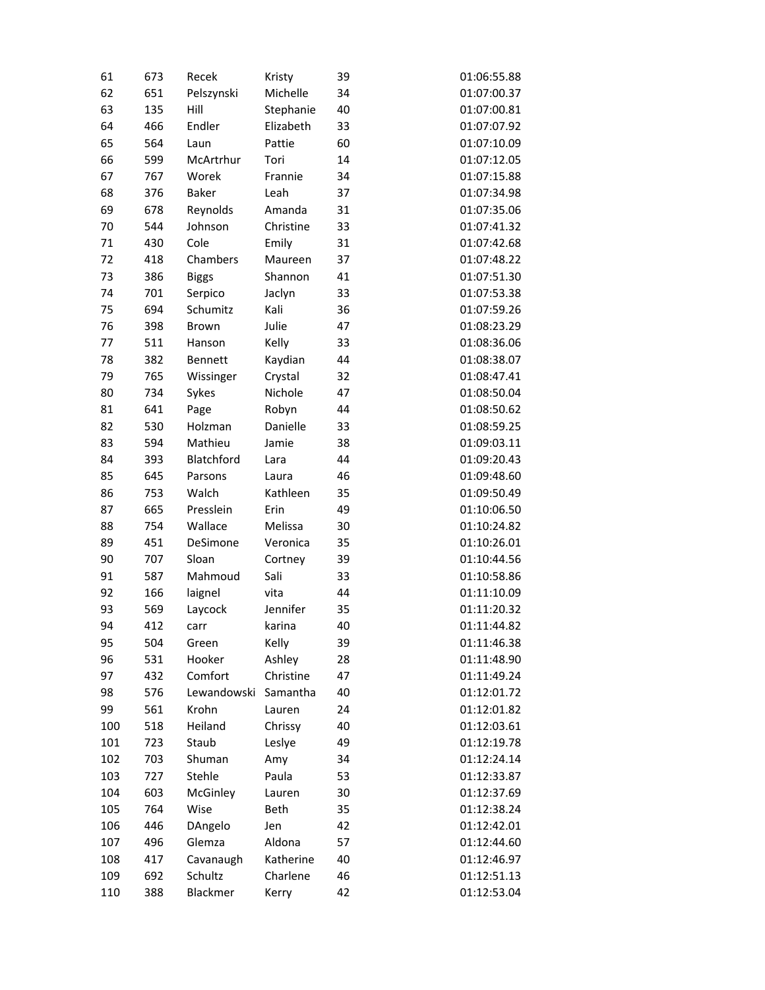| 61  | 673 | Recek          | Kristy    | 39 | 01:06:55.88 |
|-----|-----|----------------|-----------|----|-------------|
| 62  | 651 | Pelszynski     | Michelle  | 34 | 01:07:00.37 |
| 63  | 135 | Hill           | Stephanie | 40 | 01:07:00.81 |
| 64  | 466 | Endler         | Elizabeth | 33 | 01:07:07.92 |
| 65  | 564 | Laun           | Pattie    | 60 | 01:07:10.09 |
| 66  | 599 | McArtrhur      | Tori      | 14 | 01:07:12.05 |
| 67  | 767 | Worek          | Frannie   | 34 | 01:07:15.88 |
| 68  | 376 | <b>Baker</b>   | Leah      | 37 | 01:07:34.98 |
| 69  | 678 | Reynolds       | Amanda    | 31 | 01:07:35.06 |
| 70  | 544 | Johnson        | Christine | 33 | 01:07:41.32 |
| 71  | 430 | Cole           | Emily     | 31 | 01:07:42.68 |
| 72  | 418 | Chambers       | Maureen   | 37 | 01:07:48.22 |
| 73  | 386 | <b>Biggs</b>   | Shannon   | 41 | 01:07:51.30 |
| 74  | 701 | Serpico        | Jaclyn    | 33 | 01:07:53.38 |
| 75  | 694 | Schumitz       | Kali      | 36 | 01:07:59.26 |
| 76  | 398 | Brown          | Julie     | 47 | 01:08:23.29 |
| 77  | 511 | Hanson         | Kelly     | 33 | 01:08:36.06 |
| 78  | 382 | <b>Bennett</b> | Kaydian   | 44 | 01:08:38.07 |
| 79  | 765 | Wissinger      | Crystal   | 32 | 01:08:47.41 |
| 80  | 734 | Sykes          | Nichole   | 47 | 01:08:50.04 |
| 81  | 641 | Page           | Robyn     | 44 | 01:08:50.62 |
| 82  | 530 | Holzman        | Danielle  | 33 | 01:08:59.25 |
| 83  | 594 | Mathieu        | Jamie     | 38 | 01:09:03.11 |
| 84  | 393 | Blatchford     | Lara      | 44 | 01:09:20.43 |
| 85  | 645 | Parsons        | Laura     | 46 | 01:09:48.60 |
| 86  | 753 | Walch          | Kathleen  | 35 | 01:09:50.49 |
| 87  | 665 | Presslein      | Erin      | 49 | 01:10:06.50 |
| 88  | 754 | Wallace        | Melissa   | 30 | 01:10:24.82 |
| 89  | 451 | DeSimone       | Veronica  | 35 | 01:10:26.01 |
| 90  | 707 | Sloan          | Cortney   | 39 | 01:10:44.56 |
| 91  | 587 | Mahmoud        | Sali      | 33 | 01:10:58.86 |
| 92  | 166 | laignel        | vita      | 44 | 01:11:10.09 |
| 93  | 569 | Laycock        | Jennifer  | 35 | 01:11:20.32 |
| 94  | 412 | carr           | karina    | 40 | 01:11:44.82 |
| 95  | 504 | Green          | Kelly     | 39 | 01:11:46.38 |
| 96  | 531 | Hooker         | Ashley    | 28 | 01:11:48.90 |
| 97  | 432 | Comfort        | Christine | 47 | 01:11:49.24 |
| 98  | 576 | Lewandowski    | Samantha  | 40 | 01:12:01.72 |
| 99  | 561 | Krohn          | Lauren    | 24 | 01:12:01.82 |
| 100 | 518 | Heiland        | Chrissy   | 40 | 01:12:03.61 |
| 101 | 723 | Staub          | Leslye    | 49 | 01:12:19.78 |
| 102 | 703 | Shuman         | Amy       | 34 | 01:12:24.14 |
| 103 | 727 | Stehle         | Paula     | 53 | 01:12:33.87 |
| 104 | 603 | McGinley       | Lauren    | 30 | 01:12:37.69 |
| 105 | 764 | Wise           | Beth      | 35 | 01:12:38.24 |
| 106 | 446 | DAngelo        | Jen       | 42 | 01:12:42.01 |
| 107 | 496 | Glemza         | Aldona    | 57 | 01:12:44.60 |
| 108 | 417 | Cavanaugh      | Katherine | 40 | 01:12:46.97 |
| 109 | 692 | Schultz        | Charlene  | 46 | 01:12:51.13 |
| 110 | 388 | Blackmer       | Kerry     | 42 | 01:12:53.04 |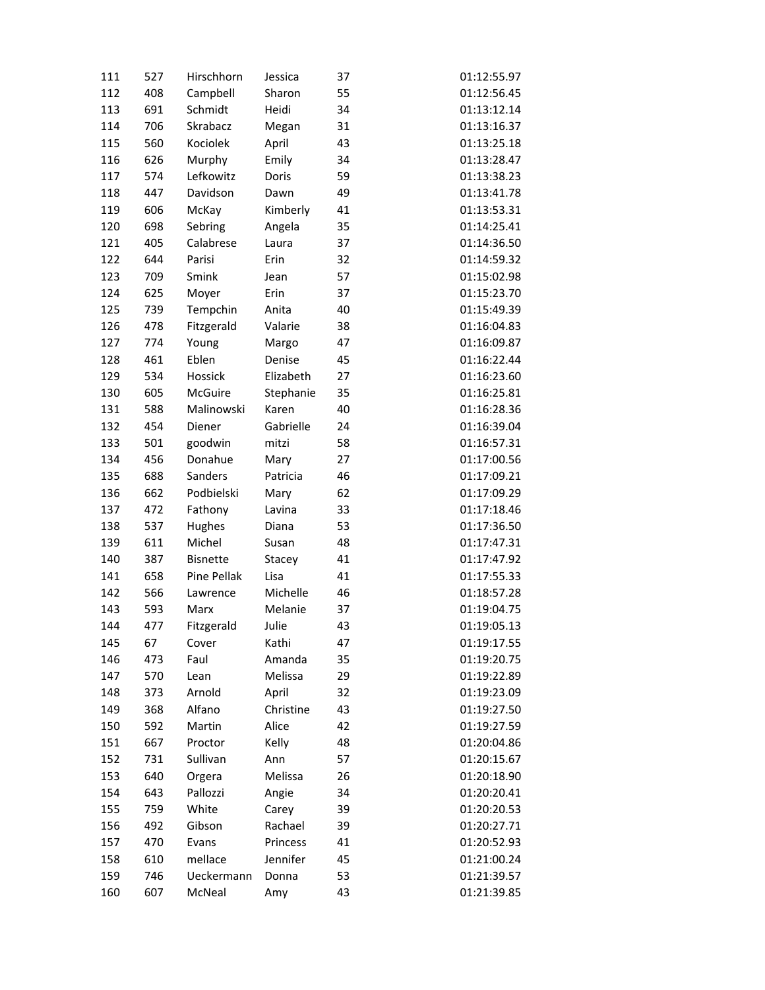| 111 | 527 | Hirschhorn      | Jessica   | 37 | 01:12:55.97 |
|-----|-----|-----------------|-----------|----|-------------|
| 112 | 408 | Campbell        | Sharon    | 55 | 01:12:56.45 |
| 113 | 691 | Schmidt         | Heidi     | 34 | 01:13:12.14 |
| 114 | 706 | Skrabacz        | Megan     | 31 | 01:13:16.37 |
| 115 | 560 | Kociolek        | April     | 43 | 01:13:25.18 |
| 116 | 626 | Murphy          | Emily     | 34 | 01:13:28.47 |
| 117 | 574 | Lefkowitz       | Doris     | 59 | 01:13:38.23 |
| 118 | 447 | Davidson        | Dawn      | 49 | 01:13:41.78 |
| 119 | 606 | McKay           | Kimberly  | 41 | 01:13:53.31 |
| 120 | 698 | Sebring         | Angela    | 35 | 01:14:25.41 |
| 121 | 405 | Calabrese       | Laura     | 37 | 01:14:36.50 |
| 122 | 644 | Parisi          | Erin      | 32 | 01:14:59.32 |
| 123 | 709 | Smink           | Jean      | 57 | 01:15:02.98 |
| 124 | 625 | Moyer           | Erin      | 37 | 01:15:23.70 |
| 125 | 739 | Tempchin        | Anita     | 40 | 01:15:49.39 |
| 126 | 478 | Fitzgerald      | Valarie   | 38 | 01:16:04.83 |
| 127 | 774 | Young           | Margo     | 47 | 01:16:09.87 |
| 128 | 461 | Eblen           | Denise    | 45 | 01:16:22.44 |
| 129 | 534 | Hossick         | Elizabeth | 27 | 01:16:23.60 |
| 130 | 605 | McGuire         | Stephanie | 35 | 01:16:25.81 |
| 131 | 588 | Malinowski      | Karen     | 40 | 01:16:28.36 |
| 132 | 454 | Diener          | Gabrielle | 24 | 01:16:39.04 |
| 133 | 501 | goodwin         | mitzi     | 58 | 01:16:57.31 |
| 134 | 456 | Donahue         | Mary      | 27 | 01:17:00.56 |
| 135 | 688 | Sanders         | Patricia  | 46 | 01:17:09.21 |
| 136 | 662 | Podbielski      | Mary      | 62 | 01:17:09.29 |
| 137 | 472 | Fathony         | Lavina    | 33 | 01:17:18.46 |
| 138 | 537 | Hughes          | Diana     | 53 | 01:17:36.50 |
| 139 | 611 | Michel          | Susan     | 48 | 01:17:47.31 |
| 140 | 387 | <b>Bisnette</b> | Stacey    | 41 | 01:17:47.92 |
| 141 | 658 | Pine Pellak     | Lisa      | 41 | 01:17:55.33 |
| 142 | 566 | Lawrence        | Michelle  | 46 | 01:18:57.28 |
| 143 | 593 | Marx            | Melanie   | 37 | 01:19:04.75 |
| 144 | 477 | Fitzgerald      | Julie     | 43 | 01:19:05.13 |
| 145 | 67  | Cover           | Kathi     | 47 | 01:19:17.55 |
| 146 | 473 | Faul            | Amanda    | 35 | 01:19:20.75 |
| 147 | 570 | Lean            | Melissa   | 29 | 01:19:22.89 |
| 148 | 373 | Arnold          | April     | 32 | 01:19:23.09 |
| 149 | 368 | Alfano          | Christine | 43 | 01:19:27.50 |
| 150 | 592 | Martin          | Alice     | 42 | 01:19:27.59 |
| 151 | 667 | Proctor         | Kelly     | 48 | 01:20:04.86 |
| 152 | 731 | Sullivan        | Ann       | 57 | 01:20:15.67 |
| 153 | 640 | Orgera          | Melissa   | 26 | 01:20:18.90 |
| 154 | 643 | Pallozzi        | Angie     | 34 | 01:20:20.41 |
| 155 | 759 | White           | Carey     | 39 | 01:20:20.53 |
| 156 | 492 | Gibson          | Rachael   | 39 | 01:20:27.71 |
| 157 | 470 | Evans           | Princess  | 41 | 01:20:52.93 |
| 158 | 610 | mellace         | Jennifer  | 45 | 01:21:00.24 |
| 159 | 746 | Ueckermann      | Donna     | 53 | 01:21:39.57 |
| 160 | 607 | McNeal          | Amy       | 43 | 01:21:39.85 |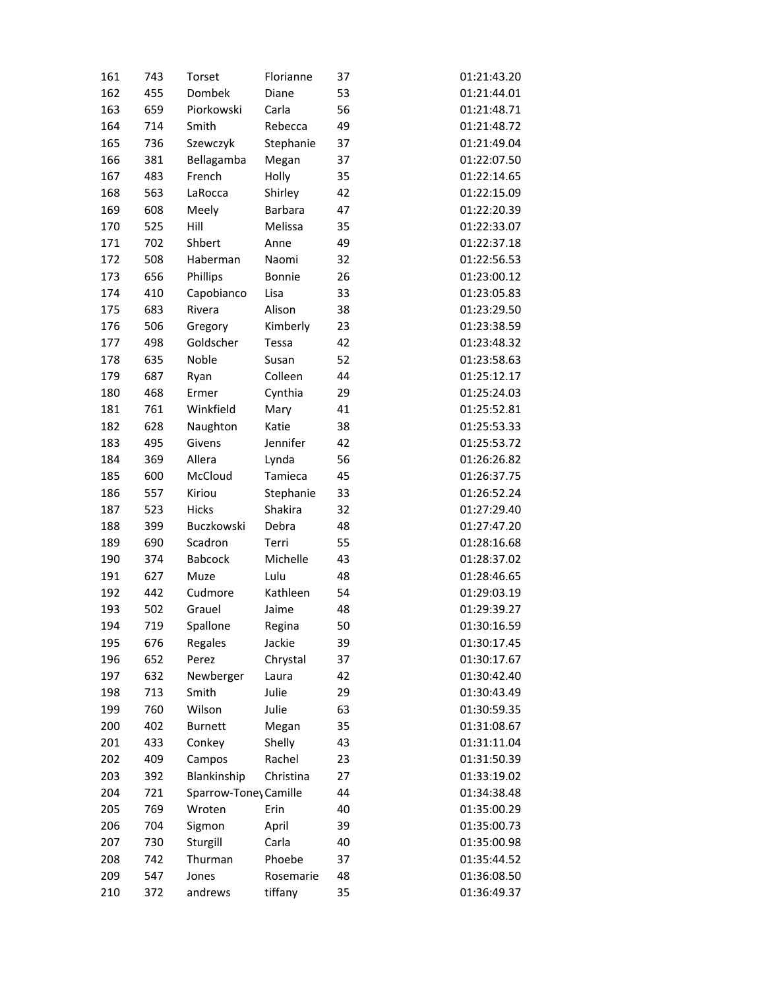| 161        | 743 | Torset                | Florianne      | 37 | 01:21:43.20 |
|------------|-----|-----------------------|----------------|----|-------------|
| 162        | 455 | Dombek                | Diane          | 53 | 01:21:44.01 |
| 163        | 659 | Piorkowski            | Carla          | 56 | 01:21:48.71 |
| 164        | 714 | Smith                 | Rebecca        | 49 | 01:21:48.72 |
| 165        | 736 | Szewczyk              | Stephanie      | 37 | 01:21:49.04 |
| 166        | 381 | Bellagamba            | Megan          | 37 | 01:22:07.50 |
| 167        | 483 | French                | Holly          | 35 | 01:22:14.65 |
| 168        | 563 | LaRocca               | Shirley        | 42 | 01:22:15.09 |
| 169        | 608 | Meely                 | <b>Barbara</b> | 47 | 01:22:20.39 |
| 170        | 525 | Hill                  | Melissa        | 35 | 01:22:33.07 |
| 171        | 702 | Shbert                | Anne           | 49 | 01:22:37.18 |
| 172        | 508 | Haberman              | Naomi          | 32 | 01:22:56.53 |
| 173        | 656 | Phillips              | Bonnie         | 26 | 01:23:00.12 |
| 174        | 410 | Capobianco            | Lisa           | 33 | 01:23:05.83 |
| 175        | 683 | Rivera                | Alison         | 38 | 01:23:29.50 |
| 176        | 506 | Gregory               | Kimberly       | 23 | 01:23:38.59 |
| 177        | 498 | Goldscher             | Tessa          | 42 | 01:23:48.32 |
| 178        | 635 | Noble                 | Susan          | 52 | 01:23:58.63 |
| 179        | 687 | Ryan                  | Colleen        | 44 | 01:25:12.17 |
| 180        | 468 | Ermer                 | Cynthia        | 29 | 01:25:24.03 |
| 181        | 761 | Winkfield             | Mary           | 41 | 01:25:52.81 |
| 182        | 628 | Naughton              | Katie          | 38 | 01:25:53.33 |
| 183        | 495 | Givens                | Jennifer       | 42 | 01:25:53.72 |
| 184        | 369 | Allera                | Lynda          | 56 | 01:26:26.82 |
| 185        | 600 | McCloud               | Tamieca        | 45 | 01:26:37.75 |
| 186        | 557 | Kiriou                | Stephanie      | 33 | 01:26:52.24 |
| 187        | 523 | <b>Hicks</b>          | Shakira        | 32 | 01:27:29.40 |
| 188        | 399 | Buczkowski            | Debra          | 48 | 01:27:47.20 |
| 189        | 690 | Scadron               | Terri          | 55 | 01:28:16.68 |
| 190        | 374 | <b>Babcock</b>        | Michelle       | 43 | 01:28:37.02 |
| 191        | 627 | Muze                  | Lulu           | 48 | 01:28:46.65 |
| 192        | 442 | Cudmore               | Kathleen       | 54 | 01:29:03.19 |
| 193        | 502 | Grauel                | Jaime          | 48 | 01:29:39.27 |
| 194        | 719 | Spallone              | Regina         | 50 | 01:30:16.59 |
| 195        | 676 | Regales               | Jackie         | 39 | 01:30:17.45 |
| 196        | 652 | Perez                 | Chrystal       | 37 | 01:30:17.67 |
| 197        | 632 | Newberger             | Laura          | 42 | 01:30:42.40 |
| 198        | 713 | Smith                 | Julie          | 29 | 01:30:43.49 |
| 199        | 760 | Wilson                | Julie          | 63 | 01:30:59.35 |
| 200        | 402 | <b>Burnett</b>        | Megan          | 35 | 01:31:08.67 |
| 201        | 433 | Conkey                | Shelly         | 43 | 01:31:11.04 |
| 202        | 409 | Campos                | Rachel         | 23 | 01:31:50.39 |
| 203        | 392 | Blankinship           | Christina      | 27 | 01:33:19.02 |
| 204        | 721 | Sparrow-Toney Camille |                | 44 | 01:34:38.48 |
| 205        | 769 | Wroten                | Erin           | 40 | 01:35:00.29 |
|            | 704 |                       |                | 39 | 01:35:00.73 |
| 206<br>207 | 730 | Sigmon<br>Sturgill    | April<br>Carla | 40 | 01:35:00.98 |
| 208        | 742 | Thurman               | Phoebe         | 37 | 01:35:44.52 |
| 209        | 547 | Jones                 | Rosemarie      | 48 | 01:36:08.50 |
|            |     |                       |                |    |             |
| 210        | 372 | andrews               | tiffany        | 35 | 01:36:49.37 |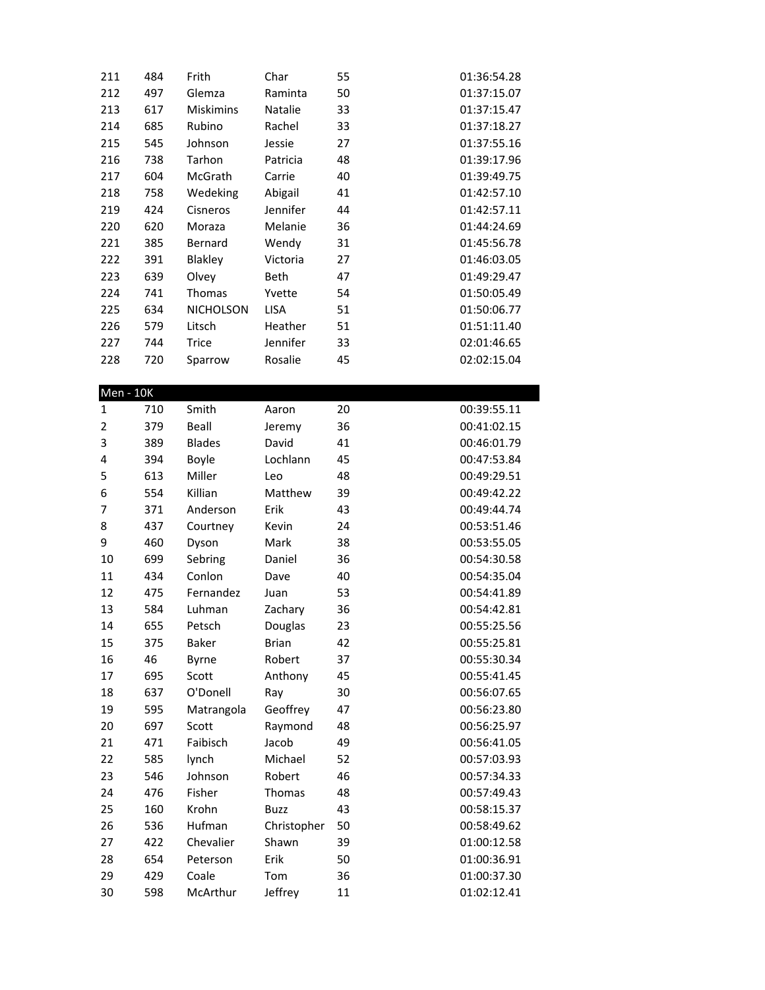| 211            | 484 | Frith            | Char        | 55 | 01:36:54.28 |
|----------------|-----|------------------|-------------|----|-------------|
| 212            | 497 | Glemza           | Raminta     | 50 | 01:37:15.07 |
| 213            | 617 | <b>Miskimins</b> | Natalie     | 33 | 01:37:15.47 |
| 214            | 685 | Rubino           | Rachel      | 33 | 01:37:18.27 |
| 215            | 545 | Johnson          | Jessie      | 27 | 01:37:55.16 |
| 216            | 738 | Tarhon           | Patricia    | 48 | 01:39:17.96 |
| 217            | 604 | McGrath          | Carrie      | 40 | 01:39:49.75 |
| 218            | 758 | Wedeking         | Abigail     | 41 | 01:42:57.10 |
| 219            | 424 | Cisneros         | Jennifer    | 44 | 01:42:57.11 |
| 220            | 620 | Moraza           | Melanie     | 36 | 01:44:24.69 |
| 221            | 385 | Bernard          | Wendy       | 31 | 01:45:56.78 |
| 222            | 391 | Blakley          | Victoria    | 27 | 01:46:03.05 |
| 223            | 639 | Olvey            | Beth        | 47 | 01:49:29.47 |
| 224            | 741 | Thomas           | Yvette      | 54 | 01:50:05.49 |
| 225            | 634 | <b>NICHOLSON</b> | LISA        | 51 | 01:50:06.77 |
| 226            | 579 | Litsch           | Heather     | 51 | 01:51:11.40 |
| 227            | 744 | <b>Trice</b>     | Jennifer    | 33 | 02:01:46.65 |
| 228            | 720 | Sparrow          | Rosalie     | 45 | 02:02:15.04 |
|                |     |                  |             |    |             |
| $Men - 10K$    |     |                  |             |    |             |
| $\mathbf{1}$   | 710 | Smith            | Aaron       | 20 | 00:39:55.11 |
| $\overline{2}$ | 379 | Beall            | Jeremy      | 36 | 00:41:02.15 |
| 3              | 389 | <b>Blades</b>    | David       | 41 | 00:46:01.79 |
| 4              | 394 | Boyle            | Lochlann    | 45 | 00:47:53.84 |
| 5              | 613 | Miller           | Leo         | 48 | 00:49:29.51 |
| 6              | 554 | Killian          | Matthew     | 39 | 00:49:42.22 |
| 7              | 371 | Anderson         | Erik        | 43 | 00:49:44.74 |
| 8              | 437 | Courtney         | Kevin       | 24 | 00:53:51.46 |
| 9              | 460 | Dyson            | Mark        | 38 | 00:53:55.05 |
| 10             | 699 | Sebring          | Daniel      | 36 | 00:54:30.58 |
| 11             | 434 | Conlon           | Dave        | 40 | 00:54:35.04 |
| 12             | 475 | Fernandez        | Juan        | 53 | 00:54:41.89 |
| 13             | 584 | Luhman           | Zachary     | 36 | 00:54:42.81 |
| 14             | 655 | Petsch           | Douglas     | 23 | 00:55:25.56 |
| 15             | 375 | Baker            | Brian       | 42 | 00:55:25.81 |
| 16             | 46  | Byrne            | Robert      | 37 | 00:55:30.34 |
| 17             | 695 | Scott            | Anthony     | 45 | 00:55:41.45 |
| 18             | 637 | O'Donell         | Ray         | 30 | 00:56:07.65 |
| 19             | 595 | Matrangola       | Geoffrey    | 47 | 00:56:23.80 |
| 20             | 697 | Scott            | Raymond     | 48 | 00:56:25.97 |
| 21             | 471 | Faibisch         | Jacob       | 49 | 00:56:41.05 |
| 22             | 585 | lynch            | Michael     | 52 | 00:57:03.93 |
| 23             | 546 | Johnson          | Robert      | 46 | 00:57:34.33 |
| 24             | 476 | Fisher           | Thomas      | 48 | 00:57:49.43 |
| 25             | 160 | Krohn            | <b>Buzz</b> | 43 | 00:58:15.37 |
| 26             | 536 | Hufman           | Christopher | 50 | 00:58:49.62 |
| 27             | 422 | Chevalier        | Shawn       | 39 | 01:00:12.58 |
| 28             | 654 | Peterson         | Erik        | 50 | 01:00:36.91 |
| 29             | 429 | Coale            | Tom         | 36 | 01:00:37.30 |
| 30             | 598 | McArthur         | Jeffrey     | 11 | 01:02:12.41 |
|                |     |                  |             |    |             |